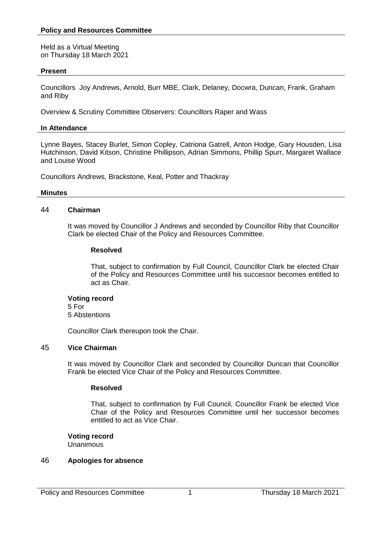Held as a Virtual Meeting on Thursday 18 March 2021

## **Present**

Councillors Joy Andrews, Arnold, Burr MBE, Clark, Delaney, Docwra, Duncan, Frank, Graham and Riby

Overview & Scrutiny Committee Observers: Councillors Raper and Wass

# **In Attendance**

Lynne Bayes, Stacey Burlet, Simon Copley, Catriona Gatrell, Anton Hodge, Gary Housden, Lisa Hutchinson, David Kitson, Christine Phillipson, Adrian Simmons, Phillip Spurr, Margaret Wallace and Louise Wood

Councillors Andrews, Brackstone, Keal, Potter and Thackray

#### **Minutes**

## 44 **Chairman**

It was moved by Councillor J Andrews and seconded by Councillor Riby that Councillor Clark be elected Chair of the Policy and Resources Committee.

## **Resolved**

That, subject to confirmation by Full Council, Councillor Clark be elected Chair of the Policy and Resources Committee until his successor becomes entitled to act as Chair.

#### **Voting record**

5 For 5 Abstentions

Councillor Clark thereupon took the Chair.

# 45 **Vice Chairman**

It was moved by Councillor Clark and seconded by Councillor Duncan that Councillor Frank be elected Vice Chair of the Policy and Resources Committee.

#### **Resolved**

That, subject to confirmation by Full Council, Councillor Frank be elected Vice Chair of the Policy and Resources Committee until her successor becomes entitled to act as Vice Chair.

# **Voting record**

Unanimous

#### 46 **Apologies for absence**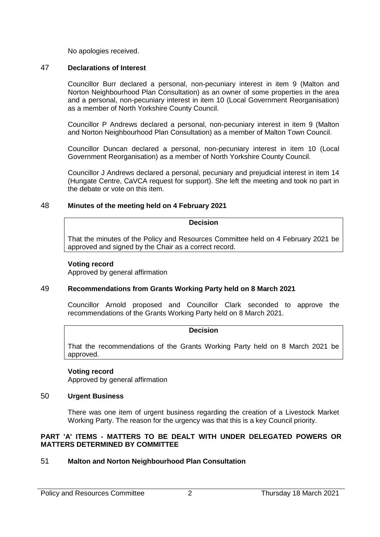No apologies received.

# 47 **Declarations of Interest**

Councillor Burr declared a personal, non-pecuniary interest in item 9 (Malton and Norton Neighbourhood Plan Consultation) as an owner of some properties in the area and a personal, non-pecuniary interest in item 10 (Local Government Reorganisation) as a member of North Yorkshire County Council.

Councillor P Andrews declared a personal, non-pecuniary interest in item 9 (Malton and Norton Neighbourhood Plan Consultation) as a member of Malton Town Council.

Councillor Duncan declared a personal, non-pecuniary interest in item 10 (Local Government Reorganisation) as a member of North Yorkshire County Council.

Councillor J Andrews declared a personal, pecuniary and prejudicial interest in item 14 (Hungate Centre, CaVCA request for support). She left the meeting and took no part in the debate or vote on this item.

## 48 **Minutes of the meeting held on 4 February 2021**

#### **Decision**

That the minutes of the Policy and Resources Committee held on 4 February 2021 be approved and signed by the Chair as a correct record.

#### **Voting record**

Approved by general affirmation

#### 49 **Recommendations from Grants Working Party held on 8 March 2021**

Councillor Arnold proposed and Councillor Clark seconded to approve the recommendations of the Grants Working Party held on 8 March 2021.

## **Decision**

That the recommendations of the Grants Working Party held on 8 March 2021 be approved.

#### **Voting record**

Approved by general affirmation

## 50 **Urgent Business**

There was one item of urgent business regarding the creation of a Livestock Market Working Party. The reason for the urgency was that this is a key Council priority.

## **PART 'A' ITEMS - MATTERS TO BE DEALT WITH UNDER DELEGATED POWERS OR MATTERS DETERMINED BY COMMITTEE**

# 51 **Malton and Norton Neighbourhood Plan Consultation**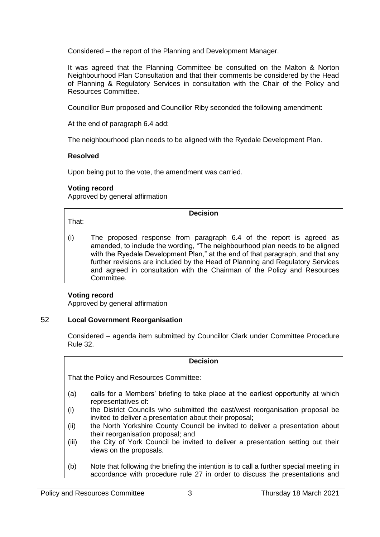Considered – the report of the Planning and Development Manager.

It was agreed that the Planning Committee be consulted on the Malton & Norton Neighbourhood Plan Consultation and that their comments be considered by the Head of Planning & Regulatory Services in consultation with the Chair of the Policy and Resources Committee.

Councillor Burr proposed and Councillor Riby seconded the following amendment:

At the end of paragraph 6.4 add:

The neighbourhood plan needs to be aligned with the Ryedale Development Plan.

# **Resolved**

Upon being put to the vote, the amendment was carried.

# **Voting record**

Approved by general affirmation

**Decision**

That:

(i) The proposed response from paragraph 6.4 of the report is agreed as amended, to include the wording, "The neighbourhood plan needs to be aligned with the Ryedale Development Plan," at the end of that paragraph, and that any further revisions are included by the Head of Planning and Regulatory Services and agreed in consultation with the Chairman of the Policy and Resources Committee.

# **Voting record**

Approved by general affirmation

# 52 **Local Government Reorganisation**

Considered – agenda item submitted by Councillor Clark under Committee Procedure Rule 32.

#### **Decision**

That the Policy and Resources Committee:

- (a) calls for a Members' briefing to take place at the earliest opportunity at which representatives of:
- (i) the District Councils who submitted the east/west reorganisation proposal be invited to deliver a presentation about their proposal;
- (ii) the North Yorkshire County Council be invited to deliver a presentation about their reorganisation proposal; and
- (iii) the City of York Council be invited to deliver a presentation setting out their views on the proposals.
- (b) Note that following the briefing the intention is to call a further special meeting in accordance with procedure rule 27 in order to discuss the presentations and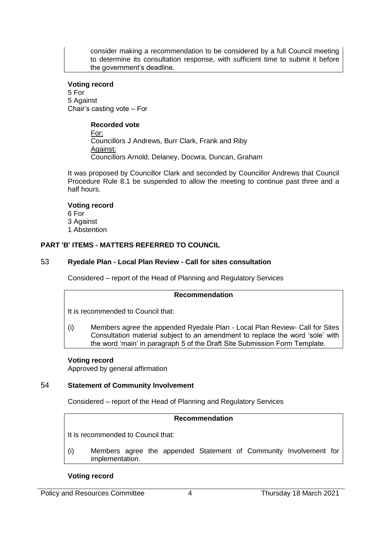consider making a recommendation to be considered by a full Council meeting to determine its consultation response, with sufficient time to submit it before the government's deadline.

#### **Voting record**

5 For 5 Against Chair's casting vote – For

# **Recorded vote**

For: Councillors J Andrews, Burr Clark, Frank and Riby Against: Councillors Arnold, Delaney, Docwra, Duncan, Graham

It was proposed by Councillor Clark and seconded by Councillor Andrews that Council Procedure Rule 8.1 be suspended to allow the meeting to continue past three and a half hours.

#### **Voting record**

6 For 3 Against 1 Abstention

## **PART 'B' ITEMS - MATTERS REFERRED TO COUNCIL**

## 53 **Ryedale Plan - Local Plan Review - Call for sites consultation**

Considered – report of the Head of Planning and Regulatory Services

#### **Recommendation**

It is recommended to Council that:

(i) Members agree the appended Ryedale Plan - Local Plan Review- Call for Sites Consultation material subject to an amendment to replace the word 'sole' with the word 'main' in paragraph 5 of the Draft Site Submission Form Template.

# **Voting record**

Approved by general affirmation

# 54 **Statement of Community Involvement**

Considered – report of the Head of Planning and Regulatory Services

## **Recommendation**

It is recommended to Council that:

(i) Members agree the appended Statement of Community Involvement for implementation.

#### **Voting record**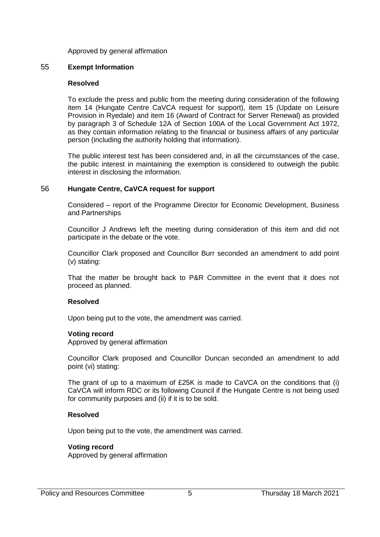### Approved by general affirmation

## 55 **Exempt Information**

## **Resolved**

To exclude the press and public from the meeting during consideration of the following item 14 (Hungate Centre CaVCA request for support), item 15 (Update on Leisure Provision in Ryedale) and item 16 (Award of Contract for Server Renewal) as provided by paragraph 3 of Schedule 12A of Section 100A of the Local Government Act 1972, as they contain information relating to the financial or business affairs of any particular person (including the authority holding that information).

The public interest test has been considered and, in all the circumstances of the case, the public interest in maintaining the exemption is considered to outweigh the public interest in disclosing the information.

# 56 **Hungate Centre, CaVCA request for support**

Considered – report of the Programme Director for Economic Development, Business and Partnerships

Councillor J Andrews left the meeting during consideration of this item and did not participate in the debate or the vote.

Councillor Clark proposed and Councillor Burr seconded an amendment to add point (v) stating:

That the matter be brought back to P&R Committee in the event that it does not proceed as planned.

# **Resolved**

Upon being put to the vote, the amendment was carried.

#### **Voting record**

Approved by general affirmation

Councillor Clark proposed and Councillor Duncan seconded an amendment to add point (vi) stating:

The grant of up to a maximum of £25K is made to CaVCA on the conditions that (i) CaVCA will inform RDC or its following Council if the Hungate Centre is not being used for community purposes and (ii) if it is to be sold.

#### **Resolved**

Upon being put to the vote, the amendment was carried.

# **Voting record**

Approved by general affirmation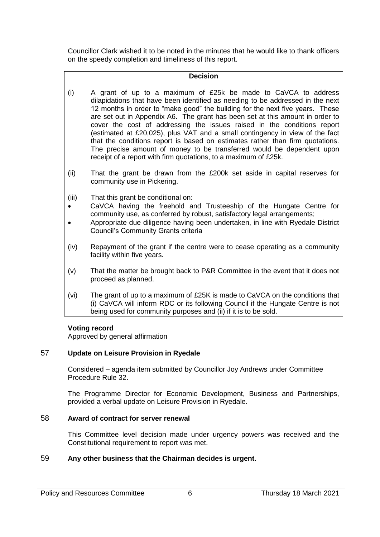Councillor Clark wished it to be noted in the minutes that he would like to thank officers on the speedy completion and timeliness of this report.

## **Decision**

- (i) A grant of up to a maximum of £25k be made to CaVCA to address dilapidations that have been identified as needing to be addressed in the next 12 months in order to "make good" the building for the next five years. These are set out in Appendix A6. The grant has been set at this amount in order to cover the cost of addressing the issues raised in the conditions report (estimated at £20,025), plus VAT and a small contingency in view of the fact that the conditions report is based on estimates rather than firm quotations. The precise amount of money to be transferred would be dependent upon receipt of a report with firm quotations, to a maximum of £25k.
- (ii) That the grant be drawn from the £200k set aside in capital reserves for community use in Pickering.
- (iii) That this grant be conditional on:
- CaVCA having the freehold and Trusteeship of the Hungate Centre for community use, as conferred by robust, satisfactory legal arrangements;
- Appropriate due diligence having been undertaken, in line with Ryedale District Council's Community Grants criteria
- (iv) Repayment of the grant if the centre were to cease operating as a community facility within five years.
- (v) That the matter be brought back to P&R Committee in the event that it does not proceed as planned.
- (vi) The grant of up to a maximum of £25K is made to CaVCA on the conditions that (i) CaVCA will inform RDC or its following Council if the Hungate Centre is not being used for community purposes and (ii) if it is to be sold.

#### **Voting record**

Approved by general affirmation

# 57 **Update on Leisure Provision in Ryedale**

Considered – agenda item submitted by Councillor Joy Andrews under Committee Procedure Rule 32.

The Programme Director for Economic Development, Business and Partnerships, provided a verbal update on Leisure Provision in Ryedale.

## 58 **Award of contract for server renewal**

This Committee level decision made under urgency powers was received and the Constitutional requirement to report was met.

#### 59 **Any other business that the Chairman decides is urgent.**